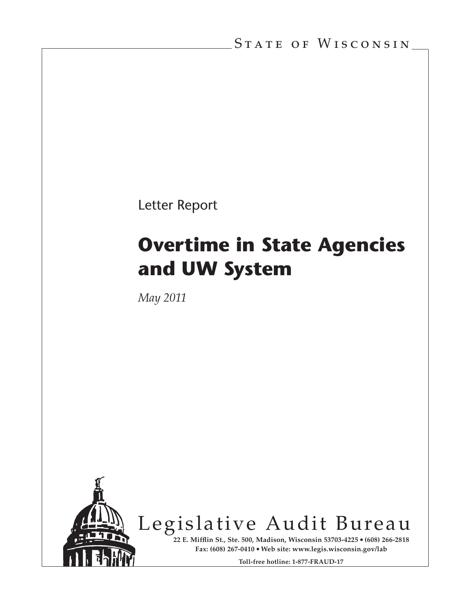Letter Report

# **Overtime in State Agencies and UW System**

*May 2011*



Legislative Audit Bureau

**22 E. Mifflin St., Ste. 500, Madison, Wisconsin 53703-4225 (608) 266-2818 Fax: (608) 267-0410 Web site: www.legis.wisconsin.gov/lab**

**Toll-free hotline: 1-877-FRAUD-17**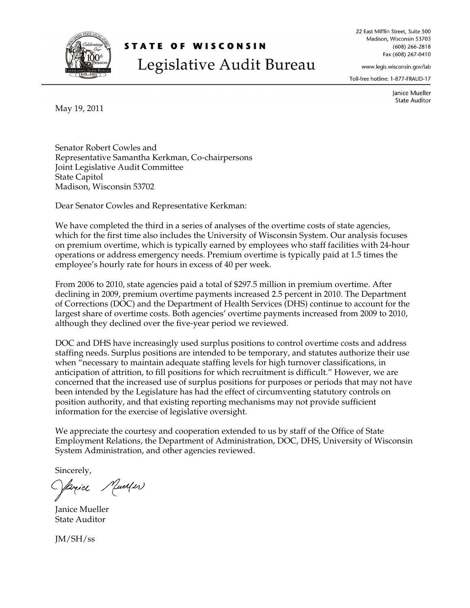

May 19, 2011

Madison, Wisconsin 53702

## **STATE OF WISCONSIN** Legislative Audit Bureau

22 East Mifflin Street, Suite 500 Madison, Wisconsin 53703  $(608)$  266-2818 Fax (608) 267-0410

www.legis.wisconsin.gov/lab

Toll-free hotline: 1-877-FRAUD-17

Janice Mueller **State Auditor** 

Senator Robert Cowles and Representative Samantha Kerkman, Co-chairpersons Joint Legislative Audit Committee State Capitol

Dear Senator Cowles and Representative Kerkman:

We have completed the third in a series of analyses of the overtime costs of state agencies, which for the first time also includes the University of Wisconsin System. Our analysis focuses on premium overtime, which is typically earned by employees who staff facilities with 24-hour operations or address emergency needs. Premium overtime is typically paid at 1.5 times the employee's hourly rate for hours in excess of 40 per week.

From 2006 to 2010, state agencies paid a total of \$297.5 million in premium overtime. After declining in 2009, premium overtime payments increased 2.5 percent in 2010. The Department of Corrections (DOC) and the Department of Health Services (DHS) continue to account for the largest share of overtime costs. Both agencies' overtime payments increased from 2009 to 2010, although they declined over the five-year period we reviewed.

DOC and DHS have increasingly used surplus positions to control overtime costs and address staffing needs. Surplus positions are intended to be temporary, and statutes authorize their use when "necessary to maintain adequate staffing levels for high turnover classifications, in anticipation of attrition, to fill positions for which recruitment is difficult." However, we are concerned that the increased use of surplus positions for purposes or periods that may not have been intended by the Legislature has had the effect of circumventing statutory controls on position authority, and that existing reporting mechanisms may not provide sufficient information for the exercise of legislative oversight.

We appreciate the courtesy and cooperation extended to us by staff of the Office of State Employment Relations, the Department of Administration, DOC, DHS, University of Wisconsin System Administration, and other agencies reviewed.

Sincerely,

Janiel Mueller

Janice Mueller State Auditor

JM/SH/ss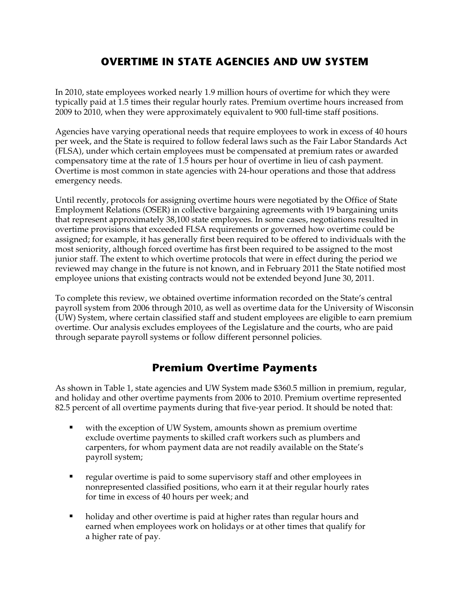## **OVERTIME IN STATE AGENCIES AND UW SYSTEM**

In 2010, state employees worked nearly 1.9 million hours of overtime for which they were typically paid at 1.5 times their regular hourly rates. Premium overtime hours increased from 2009 to 2010, when they were approximately equivalent to 900 full-time staff positions.

Agencies have varying operational needs that require employees to work in excess of 40 hours per week, and the State is required to follow federal laws such as the Fair Labor Standards Act (FLSA), under which certain employees must be compensated at premium rates or awarded compensatory time at the rate of 1.5 hours per hour of overtime in lieu of cash payment. Overtime is most common in state agencies with 24-hour operations and those that address emergency needs.

Until recently, protocols for assigning overtime hours were negotiated by the Office of State Employment Relations (OSER) in collective bargaining agreements with 19 bargaining units that represent approximately 38,100 state employees. In some cases, negotiations resulted in overtime provisions that exceeded FLSA requirements or governed how overtime could be assigned; for example, it has generally first been required to be offered to individuals with the most seniority, although forced overtime has first been required to be assigned to the most junior staff. The extent to which overtime protocols that were in effect during the period we reviewed may change in the future is not known, and in February 2011 the State notified most employee unions that existing contracts would not be extended beyond June 30, 2011.

To complete this review, we obtained overtime information recorded on the State's central payroll system from 2006 through 2010, as well as overtime data for the University of Wisconsin (UW) System, where certain classified staff and student employees are eligible to earn premium overtime. Our analysis excludes employees of the Legislature and the courts, who are paid through separate payroll systems or follow different personnel policies.

## **Premium Overtime Payments**

As shown in Table 1, state agencies and UW System made \$360.5 million in premium, regular, and holiday and other overtime payments from 2006 to 2010. Premium overtime represented 82.5 percent of all overtime payments during that five-year period. It should be noted that:

- with the exception of UW System, amounts shown as premium overtime exclude overtime payments to skilled craft workers such as plumbers and carpenters, for whom payment data are not readily available on the State's payroll system;
- **•** regular overtime is paid to some supervisory staff and other employees in nonrepresented classified positions, who earn it at their regular hourly rates for time in excess of 40 hours per week; and
- holiday and other overtime is paid at higher rates than regular hours and earned when employees work on holidays or at other times that qualify for a higher rate of pay.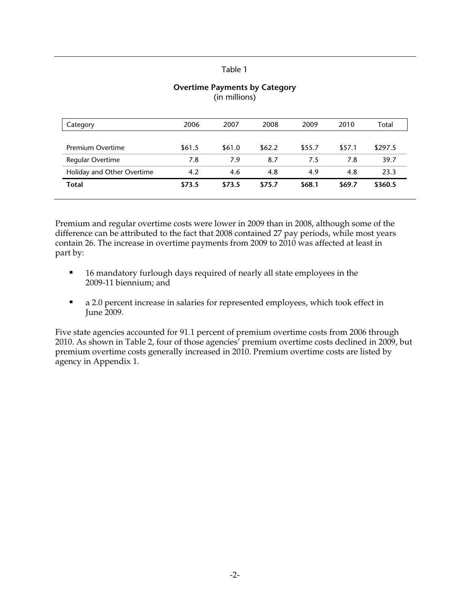| 2006   | 2007   | 2008     | 2009       | 2010   | Total   |
|--------|--------|----------|------------|--------|---------|
|        |        |          |            |        |         |
| \$61.5 | \$61.0 | \$62.2\$ | \$55.7     | \$57.1 | \$297.5 |
| 7.8    | 7.9    | 8.7      | 7.5        | 7.8    | 39.7    |
| 4.2    | 4.6    | 4.8      | 4.9        | 4.8    | 23.3    |
| \$73.5 | \$73.5 | \$75.7   | \$68.1     | \$69.7 | \$360.5 |
|        |        |          | . <b>.</b> |        |         |

#### **Overtime Payments by Category**  (in millions)

Premium and regular overtime costs were lower in 2009 than in 2008, although some of the difference can be attributed to the fact that 2008 contained 27 pay periods, while most years contain 26. The increase in overtime payments from 2009 to 2010 was affected at least in part by:

- 16 mandatory furlough days required of nearly all state employees in the 2009-11 biennium; and
- a 2.0 percent increase in salaries for represented employees, which took effect in June 2009.

Five state agencies accounted for 91.1 percent of premium overtime costs from 2006 through 2010. As shown in Table 2, four of those agencies' premium overtime costs declined in 2009, but premium overtime costs generally increased in 2010. Premium overtime costs are listed by agency in Appendix 1.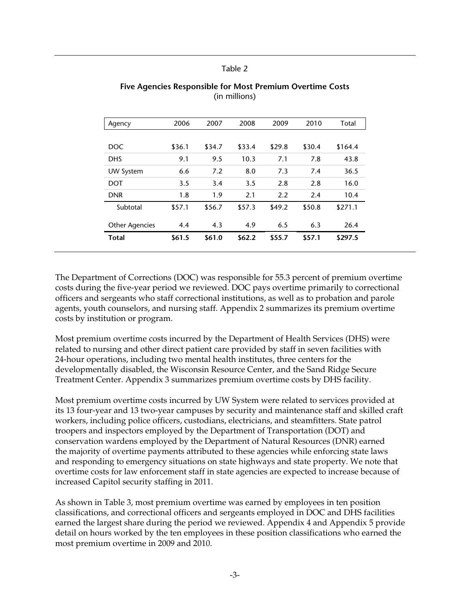| <b>DNR</b>                     | 1.8        | 1.9        | 2.1         | 2.2        | 2.4        | 10.4         |
|--------------------------------|------------|------------|-------------|------------|------------|--------------|
| <b>UW System</b><br><b>DOT</b> | 3.5        | 3.4        | 3.5         | 2.8        | 2.8        | 16.0         |
| <b>DHS</b>                     | 9.1<br>6.6 | 9.5<br>7.2 | 10.3<br>8.0 | 7.1<br>7.3 | 7.8<br>7.4 | 43.8<br>36.5 |
| DOC.                           | \$36.1     | \$34.7     | \$33.4      | \$29.8     | \$30.4     | \$164.4      |
| Agency                         | 2006       | 2007       | 2008        | 2009       | 2010       | Total        |

#### **Five Agencies Responsible for Most Premium Overtime Costs**  (in millions)

The Department of Corrections (DOC) was responsible for 55.3 percent of premium overtime costs during the five-year period we reviewed. DOC pays overtime primarily to correctional officers and sergeants who staff correctional institutions, as well as to probation and parole agents, youth counselors, and nursing staff. Appendix 2 summarizes its premium overtime costs by institution or program.

Most premium overtime costs incurred by the Department of Health Services (DHS) were related to nursing and other direct patient care provided by staff in seven facilities with 24-hour operations, including two mental health institutes, three centers for the developmentally disabled, the Wisconsin Resource Center, and the Sand Ridge Secure Treatment Center. Appendix 3 summarizes premium overtime costs by DHS facility.

Most premium overtime costs incurred by UW System were related to services provided at its 13 four-year and 13 two-year campuses by security and maintenance staff and skilled craft workers, including police officers, custodians, electricians, and steamfitters. State patrol troopers and inspectors employed by the Department of Transportation (DOT) and conservation wardens employed by the Department of Natural Resources (DNR) earned the majority of overtime payments attributed to these agencies while enforcing state laws and responding to emergency situations on state highways and state property. We note that overtime costs for law enforcement staff in state agencies are expected to increase because of increased Capitol security staffing in 2011.

As shown in Table 3, most premium overtime was earned by employees in ten position classifications, and correctional officers and sergeants employed in DOC and DHS facilities earned the largest share during the period we reviewed. Appendix 4 and Appendix 5 provide detail on hours worked by the ten employees in these position classifications who earned the most premium overtime in 2009 and 2010.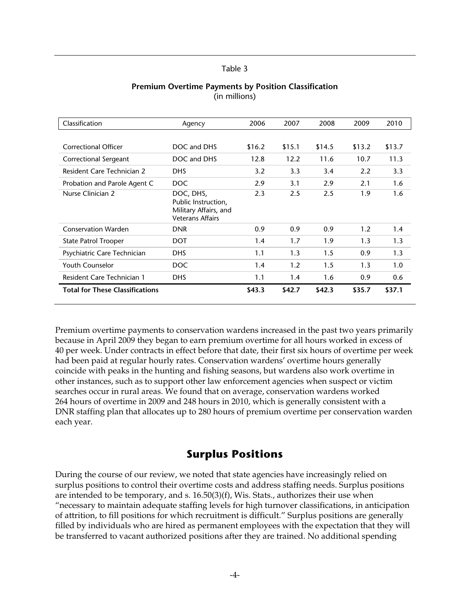| Classification                         | Agency                                                                               | 2006   | 2007   | 2008   | 2009   | 2010   |
|----------------------------------------|--------------------------------------------------------------------------------------|--------|--------|--------|--------|--------|
|                                        |                                                                                      |        |        |        |        |        |
| <b>Correctional Officer</b>            | DOC and DHS                                                                          | \$16.2 | \$15.1 | \$14.5 | \$13.2 | \$13.7 |
| Correctional Sergeant                  | DOC and DHS                                                                          | 12.8   | 12.2   | 11.6   | 10.7   | 11.3   |
| Resident Care Technician 2             | <b>DHS</b>                                                                           | 3.2    | 3.3    | 3.4    | 2.2    | 3.3    |
| Probation and Parole Agent C           | <b>DOC</b>                                                                           | 2.9    | 3.1    | 2.9    | 2.1    | 1.6    |
| Nurse Clinician 2                      | DOC, DHS,<br>Public Instruction,<br>Military Affairs, and<br><b>Veterans Affairs</b> | 2.3    | 2.5    | 2.5    | 1.9    | 1.6    |
| <b>Conservation Warden</b>             | <b>DNR</b>                                                                           | 0.9    | 0.9    | 0.9    | 1.2    | 1.4    |
| <b>State Patrol Trooper</b>            | DOT                                                                                  | 1.4    | 1.7    | 1.9    | 1.3    | 1.3    |
| Psychiatric Care Technician            | <b>DHS</b>                                                                           | 1.1    | 1.3    | 1.5    | 0.9    | 1.3    |
| <b>Youth Counselor</b>                 | <b>DOC</b>                                                                           | 1.4    | 1.2    | 1.5    | 1.3    | 1.0    |
| <b>Resident Care Technician 1</b>      | DHS.                                                                                 | 1.1    | 1.4    | 1.6    | 0.9    | 0.6    |
| <b>Total for These Classifications</b> |                                                                                      | \$43.3 | \$42.7 | \$42.3 | \$35.7 | \$37.1 |

#### **Premium Overtime Payments by Position Classification**  (in millions)

Premium overtime payments to conservation wardens increased in the past two years primarily because in April 2009 they began to earn premium overtime for all hours worked in excess of 40 per week. Under contracts in effect before that date, their first six hours of overtime per week had been paid at regular hourly rates. Conservation wardens' overtime hours generally coincide with peaks in the hunting and fishing seasons, but wardens also work overtime in other instances, such as to support other law enforcement agencies when suspect or victim searches occur in rural areas. We found that on average, conservation wardens worked 264 hours of overtime in 2009 and 248 hours in 2010, which is generally consistent with a DNR staffing plan that allocates up to 280 hours of premium overtime per conservation warden each year.

## **Surplus Positions**

During the course of our review, we noted that state agencies have increasingly relied on surplus positions to control their overtime costs and address staffing needs. Surplus positions are intended to be temporary, and s.  $16.50(3)(f)$ , Wis. Stats., authorizes their use when "necessary to maintain adequate staffing levels for high turnover classifications, in anticipation of attrition, to fill positions for which recruitment is difficult." Surplus positions are generally filled by individuals who are hired as permanent employees with the expectation that they will be transferred to vacant authorized positions after they are trained. No additional spending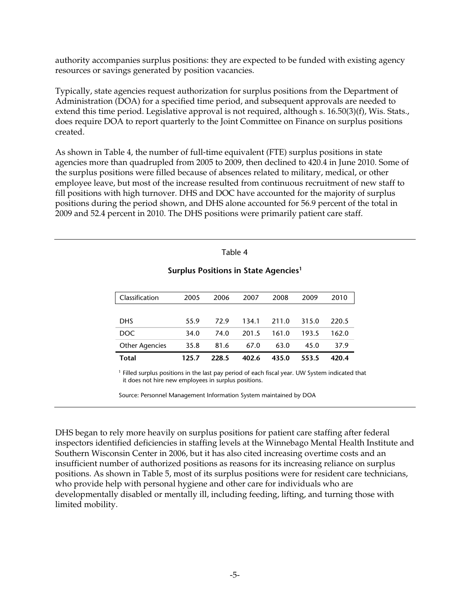authority accompanies surplus positions: they are expected to be funded with existing agency resources or savings generated by position vacancies.

Typically, state agencies request authorization for surplus positions from the Department of Administration (DOA) for a specified time period, and subsequent approvals are needed to extend this time period. Legislative approval is not required, although s. 16.50(3)(f), Wis. Stats., does require DOA to report quarterly to the Joint Committee on Finance on surplus positions created.

As shown in Table 4, the number of full-time equivalent (FTE) surplus positions in state agencies more than quadrupled from 2005 to 2009, then declined to 420.4 in June 2010. Some of the surplus positions were filled because of absences related to military, medical, or other employee leave, but most of the increase resulted from continuous recruitment of new staff to fill positions with high turnover. DHS and DOC have accounted for the majority of surplus positions during the period shown, and DHS alone accounted for 56.9 percent of the total in 2009 and 52.4 percent in 2010. The DHS positions were primarily patient care staff.

#### Table 4

| Total                 | 125.7 | 228.5 | 402.6 | 435.0 | 553.5  | 420.4 |
|-----------------------|-------|-------|-------|-------|--------|-------|
| <b>Other Agencies</b> | 35.8  | 81.6  | 67.0  | 63.0  | 45.0   | 37.9  |
| DOC.                  | 34.0  | 74.0  | 201.5 | 161.0 | 193.5  | 162.0 |
| <b>DHS</b>            | 55.9  | 729   | 134.1 | 211.0 | 31.5.0 | 220.5 |
|                       |       |       |       |       |        |       |
| Classification        | 2005  | 2006  | 2007  | 2008  | 2009   | 2010  |

#### **Surplus Positions in State Agencies1**

<sup>1</sup> Filled surplus positions in the last pay period of each fiscal year. UW System indicated that it does not hire new employees in surplus positions.

Source: Personnel Management Information System maintained by DOA

DHS began to rely more heavily on surplus positions for patient care staffing after federal inspectors identified deficiencies in staffing levels at the Winnebago Mental Health Institute and Southern Wisconsin Center in 2006, but it has also cited increasing overtime costs and an insufficient number of authorized positions as reasons for its increasing reliance on surplus positions. As shown in Table 5, most of its surplus positions were for resident care technicians, who provide help with personal hygiene and other care for individuals who are developmentally disabled or mentally ill, including feeding, lifting, and turning those with limited mobility.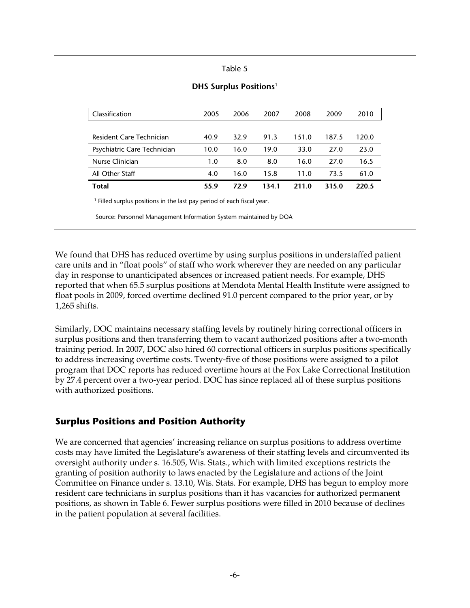| Classification              | 2005 | 2006 | 2007  | 2008  | 2009  | 2010  |  |
|-----------------------------|------|------|-------|-------|-------|-------|--|
|                             |      |      |       |       |       |       |  |
| Resident Care Technician    | 40.9 | 32.9 | 91.3  | 151.0 | 187.5 | 120.0 |  |
| Psychiatric Care Technician | 10.0 | 16.0 | 19.0  | 33.0  | 27.0  | 23.0  |  |
| Nurse Clinician             | 1.0  | 8.0  | 8.0   | 16.0  | 27.0  | 16.5  |  |
| All Other Staff             | 4.0  | 16.0 | 15.8  | 11.0  | 73.5  | 61.0  |  |
| Total                       | 55.9 | 72.9 | 134.1 | 211.0 | 315.0 | 220.5 |  |
|                             |      |      |       |       |       |       |  |

#### **DHS Surplus Positions**<sup>1</sup>

 $<sup>1</sup>$  Filled surplus positions in the last pay period of each fiscal year.</sup>

Source: Personnel Management Information System maintained by DOA

We found that DHS has reduced overtime by using surplus positions in understaffed patient care units and in "float pools" of staff who work wherever they are needed on any particular day in response to unanticipated absences or increased patient needs. For example, DHS reported that when 65.5 surplus positions at Mendota Mental Health Institute were assigned to float pools in 2009, forced overtime declined 91.0 percent compared to the prior year, or by 1,265 shifts.

Similarly, DOC maintains necessary staffing levels by routinely hiring correctional officers in surplus positions and then transferring them to vacant authorized positions after a two-month training period. In 2007, DOC also hired 60 correctional officers in surplus positions specifically to address increasing overtime costs. Twenty-five of those positions were assigned to a pilot program that DOC reports has reduced overtime hours at the Fox Lake Correctional Institution by 27.4 percent over a two-year period. DOC has since replaced all of these surplus positions with authorized positions.

### **Surplus Positions and Position Authority**

We are concerned that agencies' increasing reliance on surplus positions to address overtime costs may have limited the Legislature's awareness of their staffing levels and circumvented its oversight authority under s. 16.505, Wis. Stats., which with limited exceptions restricts the granting of position authority to laws enacted by the Legislature and actions of the Joint Committee on Finance under s. 13.10, Wis. Stats. For example, DHS has begun to employ more resident care technicians in surplus positions than it has vacancies for authorized permanent positions, as shown in Table 6. Fewer surplus positions were filled in 2010 because of declines in the patient population at several facilities.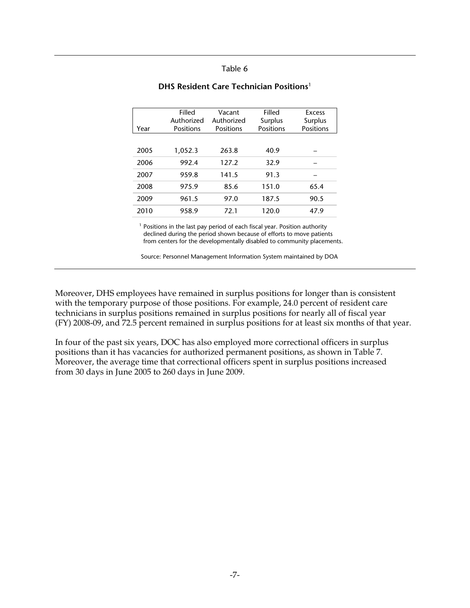|              | Filled         | Vacant     | Filled    | Excess    |
|--------------|----------------|------------|-----------|-----------|
|              | Authorized     | Authorized | Surplus   | Surplus   |
| Year         | Positions      | Positions  | Positions | Positions |
|              |                |            |           |           |
|              |                |            |           |           |
| 2005         | 1,052.3        | 263.8      | 40.9      |           |
| 2006         | 992.4          | 127.2      | 32.9      |           |
|              |                |            |           |           |
| 2007         | 959.8          | 141.5      | 91.3      |           |
|              |                |            |           |           |
|              |                | 85.6       | 151.0     | 65.4      |
|              |                |            |           |           |
|              |                |            |           |           |
| 2010         | 958.9          | 72.1       | 120.0     | 47.9      |
| 2008<br>2009 | 975.9<br>961.5 | 97.0       | 187.5     | 90.5      |

#### **DHS Resident Care Technician Positions**<sup>1</sup>

 $<sup>1</sup>$  Positions in the last pay period of each fiscal year. Position authority</sup> declined during the period shown because of efforts to move patients from centers for the developmentally disabled to community placements.

Source: Personnel Management Information System maintained by DOA

Moreover, DHS employees have remained in surplus positions for longer than is consistent with the temporary purpose of those positions. For example, 24.0 percent of resident care technicians in surplus positions remained in surplus positions for nearly all of fiscal year (FY) 2008-09, and 72.5 percent remained in surplus positions for at least six months of that year.

In four of the past six years, DOC has also employed more correctional officers in surplus positions than it has vacancies for authorized permanent positions, as shown in Table 7. Moreover, the average time that correctional officers spent in surplus positions increased from 30 days in June 2005 to 260 days in June 2009.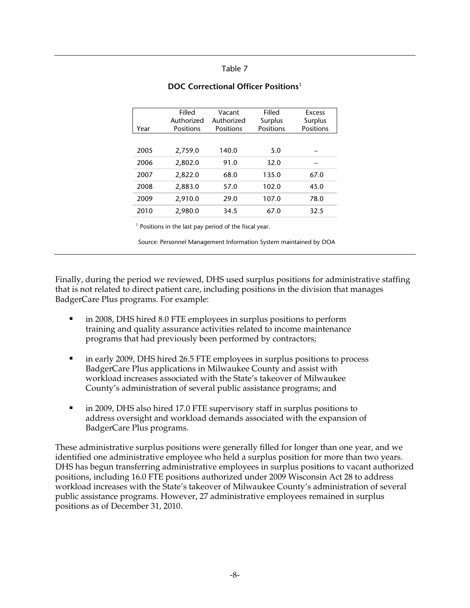|      | Filled     | Vacant     | Filled    | Excess    |
|------|------------|------------|-----------|-----------|
|      | Authorized | Authorized | Surplus   | Surplus   |
| Year | Positions  | Positions  | Positions | Positions |
|      |            |            |           |           |
| 2005 | 2,759.0    | 140.0      | 5.0       |           |
|      |            |            |           |           |
| 2006 | 2,802.0    | 91.0       | 32.0      |           |
|      |            |            |           |           |
| 2007 | 2,822.0    | 68.0       | 135.0     | 67.0      |
| 2008 | 2,883.0    | 57.0       | 102.0     | 45.0      |
| 2009 | 2,910.0    | 29.0       | 107.0     | 78.0      |
| 2010 | 2,980.0    | 34.5       | 67.0      | 32.5      |
|      |            |            |           |           |

#### **DOC Correctional Officer Positions**<sup>1</sup>

<sup>1</sup> Positions in the last pay period of the fiscal year.

Source: Personnel Management Information System maintained by DOA

Finally, during the period we reviewed, DHS used surplus positions for administrative staffing that is not related to direct patient care, including positions in the division that manages BadgerCare Plus programs. For example:

- in 2008, DHS hired 8.0 FTE employees in surplus positions to perform training and quality assurance activities related to income maintenance programs that had previously been performed by contractors;
- in early 2009, DHS hired 26.5 FTE employees in surplus positions to process BadgerCare Plus applications in Milwaukee County and assist with workload increases associated with the State's takeover of Milwaukee County's administration of several public assistance programs; and
- in 2009, DHS also hired 17.0 FTE supervisory staff in surplus positions to address oversight and workload demands associated with the expansion of BadgerCare Plus programs.

These administrative surplus positions were generally filled for longer than one year, and we identified one administrative employee who held a surplus position for more than two years. DHS has begun transferring administrative employees in surplus positions to vacant authorized positions, including 16.0 FTE positions authorized under 2009 Wisconsin Act 28 to address workload increases with the State's takeover of Milwaukee County's administration of several public assistance programs. However, 27 administrative employees remained in surplus positions as of December 31, 2010.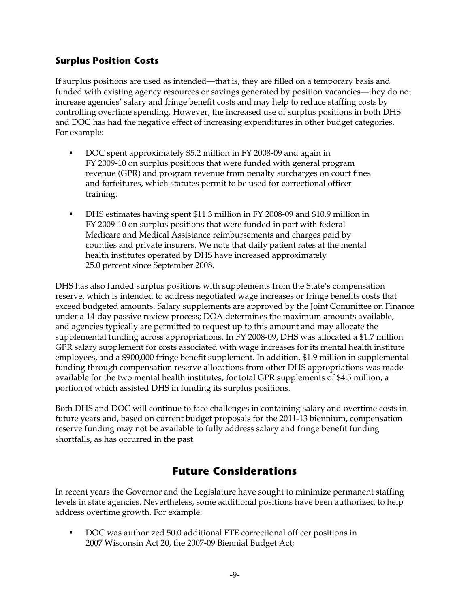### **Surplus Position Costs**

If surplus positions are used as intended—that is, they are filled on a temporary basis and funded with existing agency resources or savings generated by position vacancies—they do not increase agencies' salary and fringe benefit costs and may help to reduce staffing costs by controlling overtime spending. However, the increased use of surplus positions in both DHS and DOC has had the negative effect of increasing expenditures in other budget categories. For example:

- DOC spent approximately \$5.2 million in FY 2008-09 and again in FY 2009-10 on surplus positions that were funded with general program revenue (GPR) and program revenue from penalty surcharges on court fines and forfeitures, which statutes permit to be used for correctional officer training.
- DHS estimates having spent \$11.3 million in FY 2008-09 and \$10.9 million in FY 2009-10 on surplus positions that were funded in part with federal Medicare and Medical Assistance reimbursements and charges paid by counties and private insurers. We note that daily patient rates at the mental health institutes operated by DHS have increased approximately 25.0 percent since September 2008.

DHS has also funded surplus positions with supplements from the State's compensation reserve, which is intended to address negotiated wage increases or fringe benefits costs that exceed budgeted amounts. Salary supplements are approved by the Joint Committee on Finance under a 14-day passive review process; DOA determines the maximum amounts available, and agencies typically are permitted to request up to this amount and may allocate the supplemental funding across appropriations. In FY 2008-09, DHS was allocated a \$1.7 million GPR salary supplement for costs associated with wage increases for its mental health institute employees, and a \$900,000 fringe benefit supplement. In addition, \$1.9 million in supplemental funding through compensation reserve allocations from other DHS appropriations was made available for the two mental health institutes, for total GPR supplements of \$4.5 million, a portion of which assisted DHS in funding its surplus positions.

Both DHS and DOC will continue to face challenges in containing salary and overtime costs in future years and, based on current budget proposals for the 2011-13 biennium, compensation reserve funding may not be available to fully address salary and fringe benefit funding shortfalls, as has occurred in the past.

## **Future Considerations**

In recent years the Governor and the Legislature have sought to minimize permanent staffing levels in state agencies. Nevertheless, some additional positions have been authorized to help address overtime growth. For example:

 DOC was authorized 50.0 additional FTE correctional officer positions in 2007 Wisconsin Act 20, the 2007-09 Biennial Budget Act;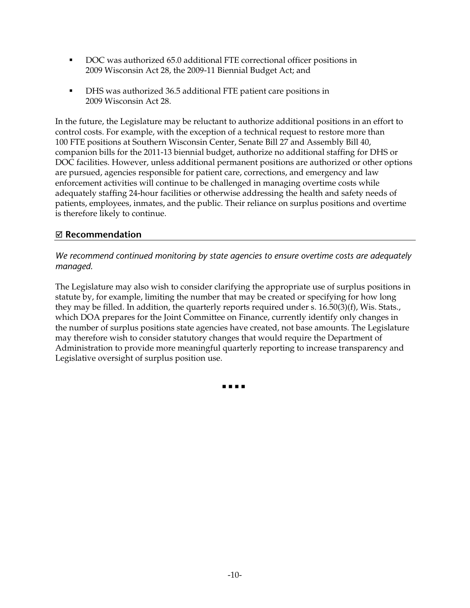- DOC was authorized 65.0 additional FTE correctional officer positions in 2009 Wisconsin Act 28, the 2009-11 Biennial Budget Act; and
- DHS was authorized 36.5 additional FTE patient care positions in 2009 Wisconsin Act 28.

In the future, the Legislature may be reluctant to authorize additional positions in an effort to control costs. For example, with the exception of a technical request to restore more than 100 FTE positions at Southern Wisconsin Center, Senate Bill 27 and Assembly Bill 40, companion bills for the 2011-13 biennial budget, authorize no additional staffing for DHS or DOC facilities. However, unless additional permanent positions are authorized or other options are pursued, agencies responsible for patient care, corrections, and emergency and law enforcement activities will continue to be challenged in managing overtime costs while adequately staffing 24-hour facilities or otherwise addressing the health and safety needs of patients, employees, inmates, and the public. Their reliance on surplus positions and overtime is therefore likely to continue.

### ; **Recommendation**

*We recommend continued monitoring by state agencies to ensure overtime costs are adequately managed.* 

The Legislature may also wish to consider clarifying the appropriate use of surplus positions in statute by, for example, limiting the number that may be created or specifying for how long they may be filled. In addition, the quarterly reports required under s. 16.50(3)(f), Wis. Stats., which DOA prepares for the Joint Committee on Finance, currently identify only changes in the number of surplus positions state agencies have created, not base amounts. The Legislature may therefore wish to consider statutory changes that would require the Department of Administration to provide more meaningful quarterly reporting to increase transparency and Legislative oversight of surplus position use.

. . . .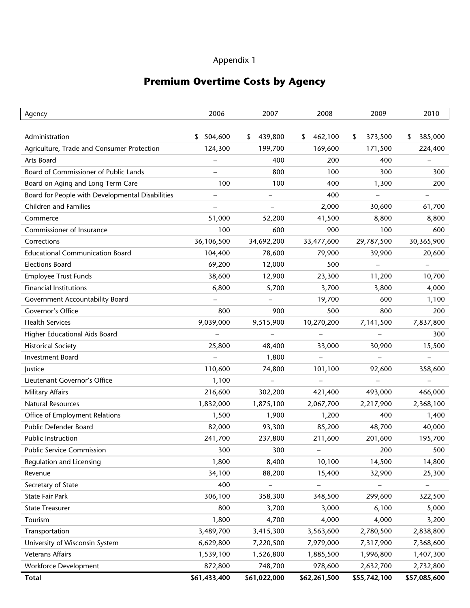## **Premium Overtime Costs by Agency**

| Agency                                           | 2006          | 2007         | 2008                     | 2009          | 2010                     |
|--------------------------------------------------|---------------|--------------|--------------------------|---------------|--------------------------|
|                                                  |               |              |                          |               |                          |
| Administration                                   | 504,600<br>\$ | 439,800<br>S | 462,100<br>S             | 373,500<br>\$ | 385,000<br>\$            |
| Agriculture, Trade and Consumer Protection       | 124,300       | 199,700      | 169,600                  | 171,500       | 224,400                  |
| Arts Board                                       |               | 400          | 200                      | 400           |                          |
| Board of Commissioner of Public Lands            |               | 800          | 100                      | 300           | 300                      |
| Board on Aging and Long Term Care                | 100           | 100          | 400                      | 1,300         | 200                      |
| Board for People with Developmental Disabilities |               |              | 400                      |               |                          |
| <b>Children and Families</b>                     |               |              | 2,000                    | 30,600        | 61,700                   |
| Commerce                                         | 51,000        | 52,200       | 41,500                   | 8,800         | 8,800                    |
| Commissioner of Insurance                        | 100           | 600          | 900                      | 100           | 600                      |
| Corrections                                      | 36,106,500    | 34,692,200   | 33,477,600               | 29,787,500    | 30,365,900               |
| <b>Educational Communication Board</b>           | 104,400       | 78,600       | 79,900                   | 39,900        | 20,600                   |
| <b>Elections Board</b>                           | 69,200        | 12,000       | 500                      |               | $\overline{\phantom{0}}$ |
| <b>Employee Trust Funds</b>                      | 38,600        | 12,900       | 23,300                   | 11,200        | 10,700                   |
| <b>Financial Institutions</b>                    | 6,800         | 5,700        | 3,700                    | 3,800         | 4,000                    |
| Government Accountability Board                  |               |              | 19,700                   | 600           | 1,100                    |
| Governor's Office                                | 800           | 900          | 500                      | 800           | 200                      |
| <b>Health Services</b>                           | 9,039,000     | 9,515,900    | 10,270,200               | 7,141,500     | 7,837,800                |
| Higher Educational Aids Board                    |               |              |                          |               | 300                      |
| <b>Historical Society</b>                        | 25,800        | 48,400       | 33,000                   | 30,900        | 15,500                   |
| <b>Investment Board</b>                          |               | 1,800        | $\overline{\phantom{0}}$ |               | $\overline{\phantom{0}}$ |
| Justice                                          | 110,600       | 74,800       | 101,100                  | 92,600        | 358,600                  |
| Lieutenant Governor's Office                     | 1,100         |              |                          |               |                          |
| Military Affairs                                 | 216,600       | 302,200      | 421,400                  | 493,000       | 466,000                  |
| <b>Natural Resources</b>                         | 1,832,000     | 1,875,100    | 2,067,700                | 2,217,900     | 2,368,100                |
| Office of Employment Relations                   | 1,500         | 1,900        | 1,200                    | 400           | 1,400                    |
| Public Defender Board                            | 82,000        | 93,300       | 85,200                   | 48,700        | 40,000                   |
| Public Instruction                               | 241,700       | 237,800      | 211,600                  | 201,600       | 195,700                  |
| <b>Public Service Commission</b>                 | 300           | 300          |                          | 200           | 500                      |
| Regulation and Licensing                         | 1,800         | 8,400        | 10,100                   | 14,500        | 14,800                   |
| Revenue                                          | 34,100        | 88,200       | 15,400                   | 32,900        | 25,300                   |
| Secretary of State                               | 400           |              |                          |               |                          |
| State Fair Park                                  | 306,100       | 358,300      | 348,500                  | 299,600       | 322,500                  |
| <b>State Treasurer</b>                           | 800           | 3,700        | 3,000                    | 6,100         | 5,000                    |
| Tourism                                          | 1,800         | 4,700        | 4,000                    | 4,000         | 3,200                    |
| Transportation                                   | 3,489,700     | 3,415,300    | 3,563,600                | 2,780,500     | 2,838,800                |
| University of Wisconsin System                   | 6,629,800     | 7,220,500    | 7,979,000                | 7,317,900     | 7,368,600                |
| <b>Veterans Affairs</b>                          | 1,539,100     | 1,526,800    | 1,885,500                | 1,996,800     | 1,407,300                |
| Workforce Development                            | 872,800       | 748,700      | 978,600                  | 2,632,700     | 2,732,800                |
| <b>Total</b>                                     | \$61,433,400  | \$61,022,000 | \$62,261,500             | \$55,742,100  | \$57,085,600             |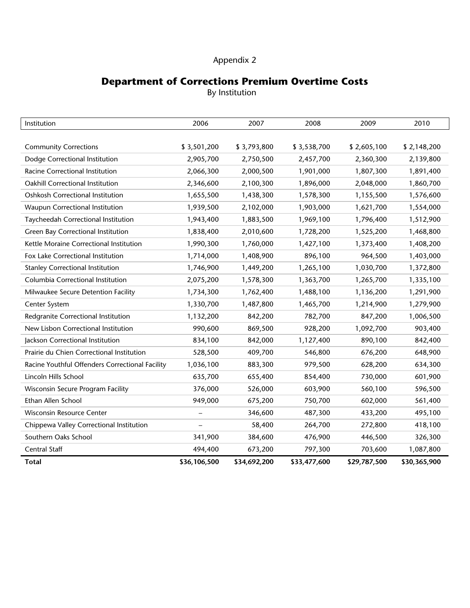## **Department of Corrections Premium Overtime Costs**

By Institution

| Institution                                     | 2006         | 2007         | 2008         | 2009         | 2010         |
|-------------------------------------------------|--------------|--------------|--------------|--------------|--------------|
|                                                 |              |              |              |              |              |
| <b>Community Corrections</b>                    | \$3,501,200  | \$3,793,800  | \$3,538,700  | \$2,605,100  | \$2,148,200  |
| Dodge Correctional Institution                  | 2,905,700    | 2,750,500    | 2,457,700    | 2,360,300    | 2,139,800    |
| Racine Correctional Institution                 | 2,066,300    | 2,000,500    | 1,901,000    | 1,807,300    | 1,891,400    |
| Oakhill Correctional Institution                | 2,346,600    | 2,100,300    | 1,896,000    | 2,048,000    | 1,860,700    |
| Oshkosh Correctional Institution                | 1,655,500    | 1,438,300    | 1,578,300    | 1,155,500    | 1,576,600    |
| Waupun Correctional Institution                 | 1,939,500    | 2,102,000    | 1,903,000    | 1,621,700    | 1,554,000    |
| Taycheedah Correctional Institution             | 1,943,400    | 1,883,500    | 1,969,100    | 1,796,400    | 1,512,900    |
| Green Bay Correctional Institution              | 1,838,400    | 2,010,600    | 1,728,200    | 1,525,200    | 1,468,800    |
| Kettle Moraine Correctional Institution         | 1,990,300    | 1,760,000    | 1,427,100    | 1,373,400    | 1,408,200    |
| Fox Lake Correctional Institution               | 1,714,000    | 1,408,900    | 896,100      | 964,500      | 1,403,000    |
| <b>Stanley Correctional Institution</b>         | 1,746,900    | 1,449,200    | 1,265,100    | 1,030,700    | 1,372,800    |
| Columbia Correctional Institution               | 2,075,200    | 1,578,300    | 1,363,700    | 1,265,700    | 1,335,100    |
| Milwaukee Secure Detention Facility             | 1,734,300    | 1,762,400    | 1,488,100    | 1,136,200    | 1,291,900    |
| Center System                                   | 1,330,700    | 1,487,800    | 1,465,700    | 1,214,900    | 1,279,900    |
| Redgranite Correctional Institution             | 1,132,200    | 842,200      | 782,700      | 847,200      | 1,006,500    |
| New Lisbon Correctional Institution             | 990,600      | 869,500      | 928,200      | 1,092,700    | 903,400      |
| Jackson Correctional Institution                | 834,100      | 842,000      | 1,127,400    | 890,100      | 842,400      |
| Prairie du Chien Correctional Institution       | 528,500      | 409,700      | 546,800      | 676,200      | 648,900      |
| Racine Youthful Offenders Correctional Facility | 1,036,100    | 883,300      | 979,500      | 628,200      | 634,300      |
| Lincoln Hills School                            | 635,700      | 655,400      | 854,400      | 730,000      | 601,900      |
| Wisconsin Secure Program Facility               | 376,000      | 526,000      | 603,900      | 560,100      | 596,500      |
| Ethan Allen School                              | 949,000      | 675,200      | 750,700      | 602,000      | 561,400      |
| Wisconsin Resource Center                       |              | 346,600      | 487,300      | 433,200      | 495,100      |
| Chippewa Valley Correctional Institution        |              | 58,400       | 264,700      | 272,800      | 418,100      |
| Southern Oaks School                            | 341,900      | 384,600      | 476,900      | 446,500      | 326,300      |
| Central Staff                                   | 494,400      | 673,200      | 797,300      | 703,600      | 1,087,800    |
| <b>Total</b>                                    | \$36,106,500 | \$34,692,200 | \$33,477,600 | \$29,787,500 | \$30,365,900 |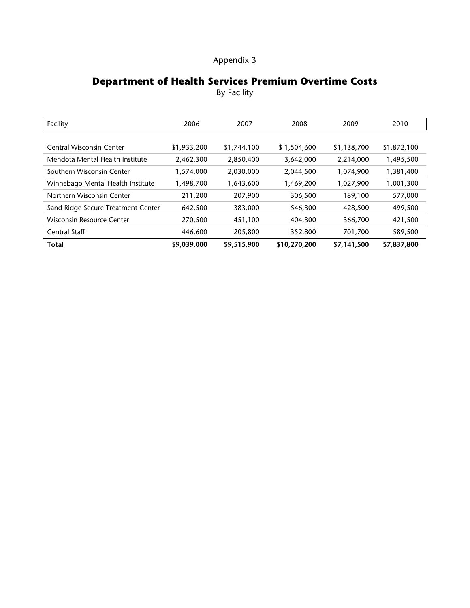## **Department of Health Services Premium Overtime Costs**

By Facility

| Facility                           | 2006        | 2007        | 2008         | 2009        | 2010        |
|------------------------------------|-------------|-------------|--------------|-------------|-------------|
|                                    |             |             |              |             |             |
| <b>Central Wisconsin Center</b>    | \$1,933,200 | \$1,744,100 | \$1,504,600  | \$1,138,700 | \$1,872,100 |
| Mendota Mental Health Institute    | 2,462,300   | 2,850,400   | 3,642,000    | 2,214,000   | 1,495,500   |
| Southern Wisconsin Center          | 1,574,000   | 2,030,000   | 2,044,500    | 1,074,900   | 1,381,400   |
| Winnebago Mental Health Institute  | 1,498,700   | 1,643,600   | 1,469,200    | 1,027,900   | 1,001,300   |
| Northern Wisconsin Center          | 211,200     | 207,900     | 306,500      | 189,100     | 577,000     |
| Sand Ridge Secure Treatment Center | 642,500     | 383,000     | 546,300      | 428,500     | 499,500     |
| Wisconsin Resource Center          | 270,500     | 451,100     | 404,300      | 366,700     | 421,500     |
| Central Staff                      | 446,600     | 205,800     | 352,800      | 701,700     | 589,500     |
| <b>Total</b>                       | \$9,039,000 | \$9,515,900 | \$10,270,200 | \$7,141,500 | \$7,837,800 |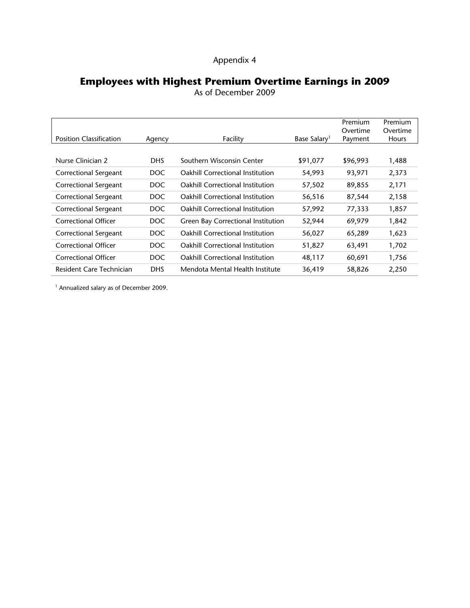## **Employees with Highest Premium Overtime Earnings in 2009**

As of December 2009

|                                |            |                                         |                          | Premium<br>Overtime | Premium<br>Overtime |
|--------------------------------|------------|-----------------------------------------|--------------------------|---------------------|---------------------|
| <b>Position Classification</b> | Agency     | Facility                                | Base Salary <sup>1</sup> | Payment             | Hours               |
|                                |            |                                         |                          |                     |                     |
| Nurse Clinician 2              | DHS.       | Southern Wisconsin Center               | \$91,077                 | \$96,993            | 1,488               |
| Correctional Sergeant          | DOC.       | <b>Oakhill Correctional Institution</b> | 54,993                   | 93,971              | 2,373               |
| Correctional Sergeant          | DOC        | <b>Oakhill Correctional Institution</b> | 57,502                   | 89,855              | 2,171               |
| Correctional Sergeant          | DOC.       | <b>Oakhill Correctional Institution</b> | 56,516                   | 87,544              | 2,158               |
| Correctional Sergeant          | DOC.       | <b>Oakhill Correctional Institution</b> | 57,992                   | 77,333              | 1,857               |
| <b>Correctional Officer</b>    | DOC.       | Green Bay Correctional Institution      | 52,944                   | 69,979              | 1,842               |
| Correctional Sergeant          | DOC.       | <b>Oakhill Correctional Institution</b> | 56,027                   | 65,289              | 1,623               |
| <b>Correctional Officer</b>    | DOC.       | <b>Oakhill Correctional Institution</b> | 51,827                   | 63,491              | 1,702               |
| <b>Correctional Officer</b>    | DOC.       | <b>Oakhill Correctional Institution</b> | 48,117                   | 60,691              | 1,756               |
| Resident Care Technician       | <b>DHS</b> | Mendota Mental Health Institute         | 36,419                   | 58,826              | 2,250               |

1 Annualized salary as of December 2009.